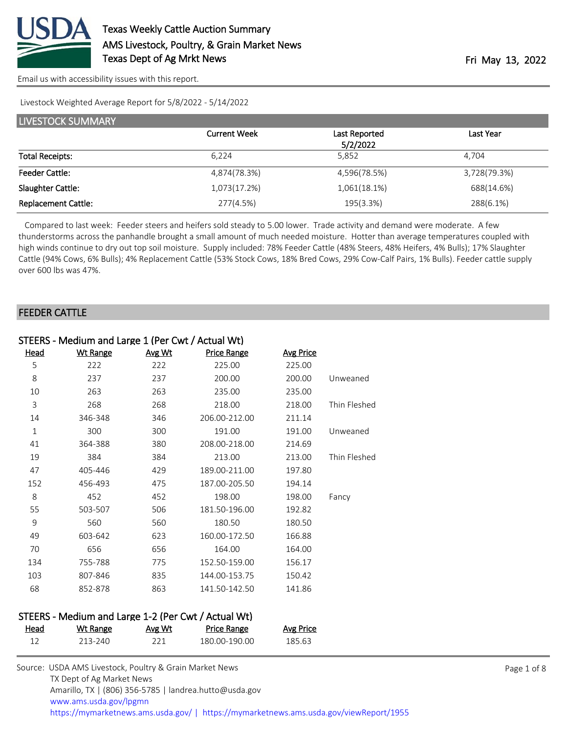

Livestock Weighted Average Report for 5/8/2022 - 5/14/2022

| LIVESTOCK SUMMARY          |                     |                           |              |  |  |
|----------------------------|---------------------|---------------------------|--------------|--|--|
|                            | <b>Current Week</b> | Last Reported<br>5/2/2022 | Last Year    |  |  |
| <b>Total Receipts:</b>     | 6.224               | 5,852                     | 4.704        |  |  |
| <b>Feeder Cattle:</b>      | 4,874(78.3%)        | 4,596(78.5%)              | 3,728(79.3%) |  |  |
| Slaughter Cattle:          | 1,073(17.2%)        | 1,061(18.1%)              | 688(14.6%)   |  |  |
| <b>Replacement Cattle:</b> | 277(4.5%)           | 195(3.3%)                 | 288(6.1%)    |  |  |

 Compared to last week: Feeder steers and heifers sold steady to 5.00 lower. Trade activity and demand were moderate. A few thunderstorms across the panhandle brought a small amount of much needed moisture. Hotter than average temperatures coupled with high winds continue to dry out top soil moisture. Supply included: 78% Feeder Cattle (48% Steers, 48% Heifers, 4% Bulls); 17% Slaughter Cattle (94% Cows, 6% Bulls); 4% Replacement Cattle (53% Stock Cows, 18% Bred Cows, 29% Cow-Calf Pairs, 1% Bulls). Feeder cattle supply over 600 lbs was 47%.

#### FEEDER CATTLE

| STEERS - Medium and Large 1 (Per Cwt / Actual Wt) |                                                     |               |                    |                  |              |
|---------------------------------------------------|-----------------------------------------------------|---------------|--------------------|------------------|--------------|
| Head                                              | <b>Wt Range</b>                                     | Avg Wt        | <b>Price Range</b> | <b>Avg Price</b> |              |
| 5                                                 | 222                                                 | 222           | 225.00             | 225.00           |              |
| 8                                                 | 237                                                 | 237           | 200.00             | 200.00           | Unweaned     |
| 10                                                | 263                                                 | 263           | 235.00             | 235.00           |              |
| $\overline{3}$                                    | 268                                                 | 268           | 218.00             | 218.00           | Thin Fleshed |
| 14                                                | 346-348                                             | 346           | 206.00-212.00      | 211.14           |              |
| $\mathbf{1}$                                      | 300                                                 | 300           | 191.00             | 191.00           | Unweaned     |
| 41                                                | 364-388                                             | 380           | 208.00-218.00      | 214.69           |              |
| 19                                                | 384                                                 | 384           | 213.00             | 213.00           | Thin Fleshed |
| 47                                                | 405-446                                             | 429           | 189.00-211.00      | 197.80           |              |
| 152                                               | 456-493                                             | 475           | 187.00-205.50      | 194.14           |              |
| 8                                                 | 452                                                 | 452           | 198.00             | 198.00           | Fancy        |
| 55                                                | 503-507                                             | 506           | 181.50-196.00      | 192.82           |              |
| 9                                                 | 560                                                 | 560           | 180.50             | 180.50           |              |
| 49                                                | 603-642                                             | 623           | 160.00-172.50      | 166.88           |              |
| 70                                                | 656                                                 | 656           | 164.00             | 164.00           |              |
| 134                                               | 755-788                                             | 775           | 152.50-159.00      | 156.17           |              |
| 103                                               | 807-846                                             | 835           | 144.00-153.75      | 150.42           |              |
| 68                                                | 852-878                                             | 863           | 141.50-142.50      | 141.86           |              |
|                                                   |                                                     |               |                    |                  |              |
|                                                   | STEERS - Medium and Large 1-2 (Per Cwt / Actual Wt) |               |                    |                  |              |
| <u>Head</u>                                       | <b>Wt Range</b>                                     | <u>Avg Wt</u> | <b>Price Range</b> | <b>Avg Price</b> |              |
| 12                                                | 213-240                                             | 221           | 180.00-190.00      | 185.63           |              |

| Source: USDA AMS Livestock, Poultry & Grain Market News                                |
|----------------------------------------------------------------------------------------|
| TX Dept of Ag Market News                                                              |
| Amarillo, TX   (806) 356-5785   landrea.hutto@usda.gov                                 |
| www.ams.usda.gov/lpgmn                                                                 |
| https://mymarketnews.ams.usda.gov/   https://mymarketnews.ams.usda.gov/viewReport/1955 |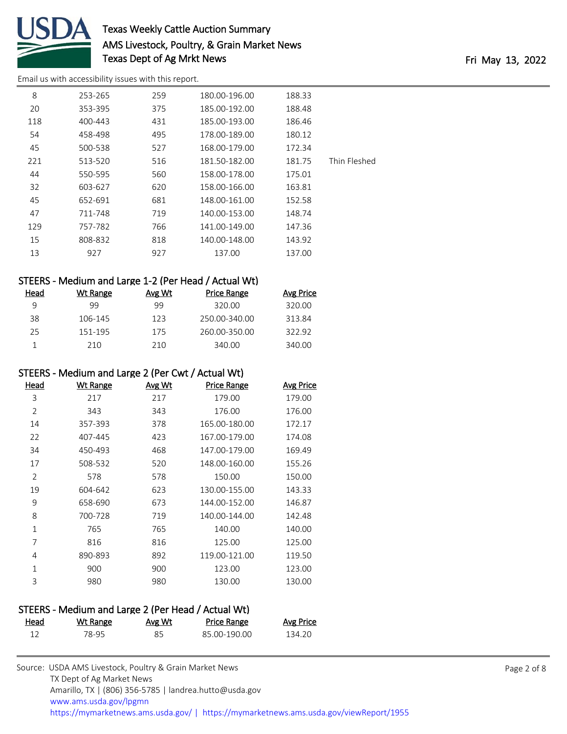

## Texas Weekly Cattle Auction Summary AMS Livestock, Poultry, & Grain Market News Texas Dept of Ag Mrkt News Texas Dept of Ag Mrkt News

[Email us with accessibility issues with this report.](mailto:mars@ams.usda.gov?subject=508%20issue)

| 8   | 253-265 | 259 | 180.00-196.00 | 188.33 |              |
|-----|---------|-----|---------------|--------|--------------|
| 20  | 353-395 | 375 | 185.00-192.00 | 188.48 |              |
| 118 | 400-443 | 431 | 185.00-193.00 | 186.46 |              |
| 54  | 458-498 | 495 | 178.00-189.00 | 180.12 |              |
| 45  | 500-538 | 527 | 168.00-179.00 | 172.34 |              |
| 221 | 513-520 | 516 | 181.50-182.00 | 181.75 | Thin Fleshed |
| 44  | 550-595 | 560 | 158.00-178.00 | 175.01 |              |
| 32  | 603-627 | 620 | 158.00-166.00 | 163.81 |              |
| 45  | 652-691 | 681 | 148.00-161.00 | 152.58 |              |
| 47  | 711-748 | 719 | 140.00-153.00 | 148.74 |              |
| 129 | 757-782 | 766 | 141.00-149.00 | 147.36 |              |
| 15  | 808-832 | 818 | 140.00-148.00 | 143.92 |              |
| 13  | 927     | 927 | 137.00        | 137.00 |              |

### STEERS - Medium and Large 1-2 (Per Head / Actual Wt)

| Head | Wt Range | Avg Wt | Price Range   | Avg Price |
|------|----------|--------|---------------|-----------|
|      | 99       | 99     | 320.00        | 320.00    |
| 38   | 106-145  | 123    | 250.00-340.00 | 313.84    |
| 25   | 151-195  | 175    | 260.00-350.00 | 322.92    |
|      | 210      | 210    | 340.00        | 340.00    |

#### STEERS - Medium and Large 2 (Per Cwt / Actual Wt)

| Head           | Wt Range | <u>Avg Wt</u> | <b>Price Range</b> | <b>Avg Price</b> |
|----------------|----------|---------------|--------------------|------------------|
| 3              | 217      | 217           | 179.00             | 179.00           |
| $\overline{2}$ | 343      | 343           | 176.00             | 176.00           |
| 14             | 357-393  | 378           | 165.00-180.00      | 172.17           |
| 22             | 407-445  | 423           | 167.00-179.00      | 174.08           |
| 34             | 450-493  | 468           | 147.00-179.00      | 169.49           |
| 17             | 508-532  | 520           | 148.00-160.00      | 155.26           |
| 2              | 578      | 578           | 150.00             | 150.00           |
| 19             | 604-642  | 623           | 130.00-155.00      | 143.33           |
| 9              | 658-690  | 673           | 144.00-152.00      | 146.87           |
| 8              | 700-728  | 719           | 140.00-144.00      | 142.48           |
| 1              | 765      | 765           | 140.00             | 140.00           |
| 7              | 816      | 816           | 125.00             | 125.00           |
| 4              | 890-893  | 892           | 119.00-121.00      | 119.50           |
| 1              | 900      | 900           | 123.00             | 123.00           |
| 3              | 980      | 980           | 130.00             | 130.00           |

### STEERS - Medium and Large 2 (Per Head / Actual Wt)

| Head | <u>Wt Range</u> | <b>Avg Wt</b> | <b>Price Range</b> | <b>Avg Price</b> |
|------|-----------------|---------------|--------------------|------------------|
|      | 78-95           | 85            | 85 00-190 00       | 134.20           |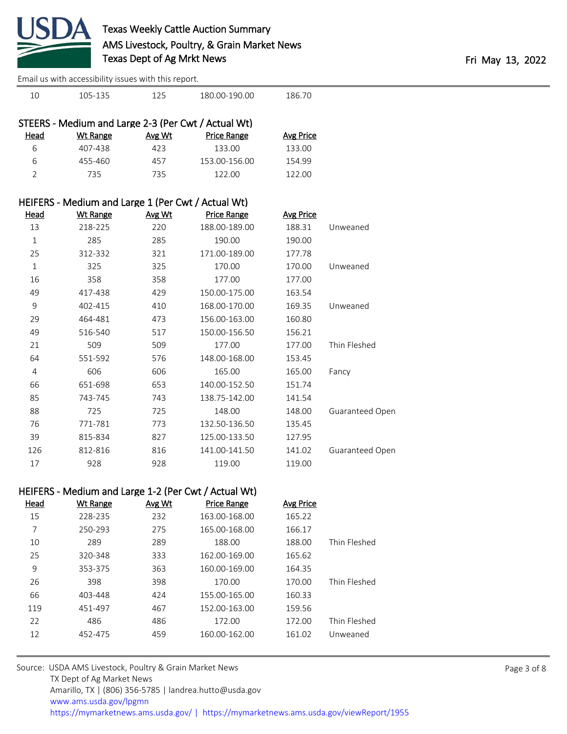

| 10             | 105-135                                                 | 125    | 180.00-190.00                                        | 186.70           |                 |             |
|----------------|---------------------------------------------------------|--------|------------------------------------------------------|------------------|-----------------|-------------|
|                | STEERS - Medium and Large 2-3 (Per Cwt / Actual Wt)     |        |                                                      |                  |                 |             |
| <u>Head</u>    | <b>Wt Range</b>                                         | Avg Wt | <b>Price Range</b>                                   | <b>Avg Price</b> |                 |             |
| 6              | 407-438                                                 | 423    | 133.00                                               | 133.00           |                 |             |
| 6              | 455-460                                                 | 457    | 153.00-156.00                                        | 154.99           |                 |             |
| $\overline{2}$ | 735                                                     | 735    | 122.00                                               | 122.00           |                 |             |
|                | HEIFERS - Medium and Large 1 (Per Cwt / Actual Wt)      |        |                                                      |                  |                 |             |
| <b>Head</b>    | <b>Wt Range</b>                                         | Avg Wt | <b>Price Range</b>                                   | <b>Avg Price</b> |                 |             |
| 13             | 218-225                                                 | 220    | 188.00-189.00                                        | 188.31           | Unweaned        |             |
| $\mathbf{1}$   | 285                                                     | 285    | 190.00                                               | 190.00           |                 |             |
| 25             | 312-332                                                 | 321    | 171.00-189.00                                        | 177.78           |                 |             |
| $\mathbf{1}$   | 325                                                     | 325    | 170.00                                               | 170.00           | Unweaned        |             |
| 16             | 358                                                     | 358    | 177.00                                               | 177.00           |                 |             |
| 49             | 417-438                                                 | 429    | 150.00-175.00                                        | 163.54           |                 |             |
| 9              | 402-415                                                 | 410    | 168.00-170.00                                        | 169.35           | Unweaned        |             |
| 29             | 464-481                                                 | 473    | 156.00-163.00                                        | 160.80           |                 |             |
| 49             | 516-540                                                 | 517    | 150.00-156.50                                        | 156.21           |                 |             |
| 21             | 509                                                     | 509    | 177.00                                               | 177.00           | Thin Fleshed    |             |
| 64             | 551-592                                                 | 576    | 148.00-168.00                                        | 153.45           |                 |             |
| 4              | 606                                                     | 606    | 165.00                                               | 165.00           | Fancy           |             |
| 66             | 651-698                                                 | 653    | 140.00-152.50                                        | 151.74           |                 |             |
| 85             | 743-745                                                 | 743    | 138.75-142.00                                        | 141.54           |                 |             |
| 88             | 725                                                     | 725    | 148.00                                               | 148.00           | Guaranteed Open |             |
| 76             | 771-781                                                 | 773    | 132.50-136.50                                        | 135.45           |                 |             |
| 39             | 815-834                                                 | 827    | 125.00-133.50                                        | 127.95           |                 |             |
| 126            | 812-816                                                 | 816    | 141.00-141.50                                        | 141.02           | Guaranteed Open |             |
| 17             | 928                                                     | 928    | 119.00                                               | 119.00           |                 |             |
|                |                                                         |        | HEIFERS - Medium and Large 1-2 (Per Cwt / Actual Wt) |                  |                 |             |
| <b>Head</b>    | <b>Wt Range</b>                                         | Avg Wt | <b>Price Range</b>                                   | <b>Avg Price</b> |                 |             |
| 15             | 228-235                                                 | 232    | 163.00-168.00                                        | 165.22           |                 |             |
| 7              | 250-293                                                 | 275    | 165.00-168.00                                        | 166.17           |                 |             |
| 10             | 289                                                     | 289    | 188.00                                               | 188.00           | Thin Fleshed    |             |
| 25             | 320-348                                                 | 333    | 162.00-169.00                                        | 165.62           |                 |             |
| 9              | 353-375                                                 | 363    | 160.00-169.00                                        | 164.35           |                 |             |
| 26             | 398                                                     | 398    | 170.00                                               | 170.00           | Thin Fleshed    |             |
| 66             | 403-448                                                 | 424    | 155.00-165.00                                        | 160.33           |                 |             |
| 119            | 451-497                                                 | 467    | 152.00-163.00                                        | 159.56           |                 |             |
| 22             | 486                                                     | 486    | 172.00                                               | 172.00           | Thin Fleshed    |             |
| 12             | 452-475                                                 | 459    | 160.00-162.00                                        | 161.02           | Unweaned        |             |
|                | Source: USDA AMS Livestock, Poultry & Grain Market News |        |                                                      |                  |                 | Page 3 of 8 |
|                |                                                         |        |                                                      |                  |                 |             |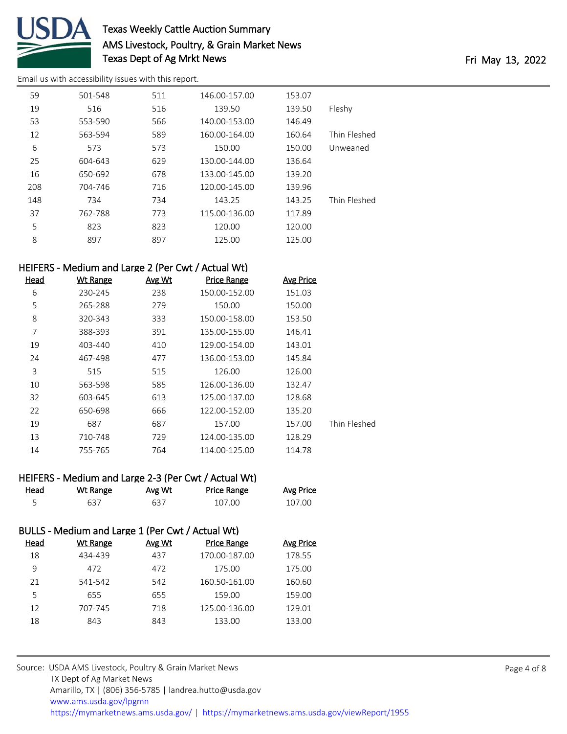

# Texas Weekly Cattle Auction Summary AMS Livestock, Poultry, & Grain Market News Texas Dept of Ag Mrkt News Texas Dept of Ag Mrkt News

[Email us with accessibility issues with this report.](mailto:mars@ams.usda.gov?subject=508%20issue)

| 59  | 501-548 | 511 | 146.00-157.00 | 153.07 |              |
|-----|---------|-----|---------------|--------|--------------|
| 19  | 516     | 516 | 139.50        | 139.50 | Fleshy       |
| 53  | 553-590 | 566 | 140.00-153.00 | 146.49 |              |
| 12  | 563-594 | 589 | 160.00-164.00 | 160.64 | Thin Fleshed |
| 6   | 573     | 573 | 150.00        | 150.00 | Unweaned     |
| 25  | 604-643 | 629 | 130.00-144.00 | 136.64 |              |
| 16  | 650-692 | 678 | 133.00-145.00 | 139.20 |              |
| 208 | 704-746 | 716 | 120.00-145.00 | 139.96 |              |
| 148 | 734     | 734 | 143.25        | 143.25 | Thin Fleshed |
| 37  | 762-788 | 773 | 115.00-136.00 | 117.89 |              |
| 5   | 823     | 823 | 120.00        | 120.00 |              |
| 8   | 897     | 897 | 125.00        | 125.00 |              |

### HEIFERS - Medium and Large 2 (Per Cwt / Actual Wt)

| Head | <b>Wt Range</b> | Avg Wt | <b>Price Range</b> | <b>Avg Price</b> |              |
|------|-----------------|--------|--------------------|------------------|--------------|
| 6    | 230-245         | 238    | 150.00-152.00      | 151.03           |              |
| 5    | 265-288         | 279    | 150.00             | 150.00           |              |
| 8    | 320-343         | 333    | 150.00-158.00      | 153.50           |              |
| 7    | 388-393         | 391    | 135.00-155.00      | 146.41           |              |
| 19   | 403-440         | 410    | 129.00-154.00      | 143.01           |              |
| 24   | 467-498         | 477    | 136.00-153.00      | 145.84           |              |
| 3    | 515             | 515    | 126.00             | 126.00           |              |
| 10   | 563-598         | 585    | 126.00-136.00      | 132.47           |              |
| 32   | 603-645         | 613    | 125.00-137.00      | 128.68           |              |
| 22   | 650-698         | 666    | 122.00-152.00      | 135.20           |              |
| 19   | 687             | 687    | 157.00             | 157.00           | Thin Fleshed |
| 13   | 710-748         | 729    | 124.00-135.00      | 128.29           |              |
| 14   | 755-765         | 764    | 114.00-125.00      | 114.78           |              |

|  | HEIFERS - Medium and Large 2-3 (Per Cwt / Actual Wt) |  |  |  |
|--|------------------------------------------------------|--|--|--|
|--|------------------------------------------------------|--|--|--|

| Head<br>_____ | Wt Range | Avg Wt | Price Range | <b>Avg Price</b> |
|---------------|----------|--------|-------------|------------------|
|               | 637      | 637    | 107.00      | 107.00           |

### BULLS - Medium and Large 1 (Per Cwt / Actual Wt)

| Head | Wt Range | Avg Wt | Price Range   | Avg Price |
|------|----------|--------|---------------|-----------|
| 18   | 434-439  | 437    | 170.00-187.00 | 178.55    |
| 9    | 472      | 472    | 175.00        | 175.00    |
| 21   | 541-542  | 542    | 160.50-161.00 | 160.60    |
| 5    | 655      | 655    | 159.00        | 159.00    |
| 12   | 707-745  | 718    | 125.00-136.00 | 129.01    |
| 18   | 843      | 843    | 133.00        | 133.00    |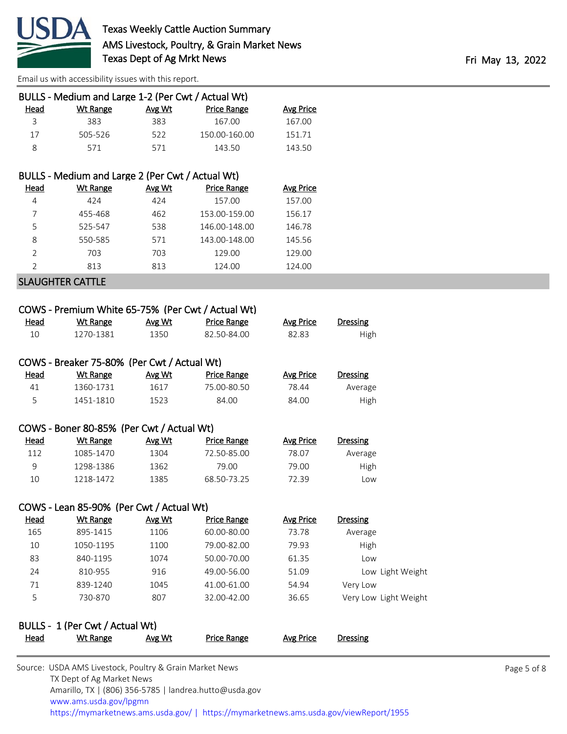

| BULLS - Medium and Large 1-2 (Per Cwt / Actual Wt) |        |                    |           |  |  |  |
|----------------------------------------------------|--------|--------------------|-----------|--|--|--|
| Wt Range                                           | Avg Wt | <b>Price Range</b> | Avg Price |  |  |  |
| 383                                                | 383    | 167.00             | 167.00    |  |  |  |
| 505-526                                            | 522    | 150.00-160.00      | 151.71    |  |  |  |
| 571                                                | 571    | 143.50             | 143.50    |  |  |  |
|                                                    |        |                    |           |  |  |  |

#### BULLS - Medium and Large 2 (Per Cwt / Actual Wt)

| Head          | Wt Range | Avg Wt | <b>Price Range</b> | <b>Avg Price</b> |
|---------------|----------|--------|--------------------|------------------|
| 4             | 424      | 424    | 157.00             | 157.00           |
|               | 455-468  | 462    | 153.00-159.00      | 156.17           |
| 5             | 525-547  | 538    | 146.00-148.00      | 146.78           |
| 8             | 550-585  | 571    | 143.00-148.00      | 145.56           |
| $\mathcal{P}$ | 703      | 703    | 129.00             | 129.00           |
| C             | 813      | 813    | 124.00             | 124.00           |
|               |          |        |                    |                  |

SLAUGHTER CATTLE

|             | COWS - Premium White 65-75% (Per Cwt / Actual Wt) |        |                    |                  |                       |
|-------------|---------------------------------------------------|--------|--------------------|------------------|-----------------------|
| <b>Head</b> | <b>Wt Range</b>                                   | Avg Wt | <b>Price Range</b> | <b>Avg Price</b> | <b>Dressing</b>       |
| 10          | 1270-1381                                         | 1350   | 82.50-84.00        | 82.83            | High                  |
|             | COWS - Breaker 75-80% (Per Cwt / Actual Wt)       |        |                    |                  |                       |
| <b>Head</b> | <b>Wt Range</b>                                   | Avg Wt | <b>Price Range</b> | <b>Avg Price</b> | <b>Dressing</b>       |
| 41          | 1360-1731                                         | 1617   | 75.00-80.50        | 78.44            | Average               |
| 5           | 1451-1810                                         | 1523   | 84.00              | 84.00            | High                  |
|             | COWS - Boner 80-85% (Per Cwt / Actual Wt)         |        |                    |                  |                       |
| Head        | <b>Wt Range</b>                                   | Avg Wt | <b>Price Range</b> | <b>Avg Price</b> | <b>Dressing</b>       |
| 112         | 1085-1470                                         | 1304   | 72.50-85.00        | 78.07            | Average               |
| 9           | 1298-1386                                         | 1362   | 79.00              | 79.00            | High                  |
| 10          | 1218-1472                                         | 1385   | 68.50-73.25        | 72.39            | Low                   |
|             | COWS - Lean 85-90% (Per Cwt / Actual Wt)          |        |                    |                  |                       |
| <u>Head</u> | <b>Wt Range</b>                                   | Avg Wt | <b>Price Range</b> | <b>Avg Price</b> | <b>Dressing</b>       |
| 165         | 895-1415                                          | 1106   | 60.00-80.00        | 73.78            | Average               |
| 10          | 1050-1195                                         | 1100   | 79.00-82.00        | 79.93            | High                  |
| 83          | 840-1195                                          | 1074   | 50.00-70.00        | 61.35            | Low                   |
| 24          | 810-955                                           | 916    | 49.00-56.00        | 51.09            | Low Light Weight      |
| 71          | 839-1240                                          | 1045   | 41.00-61.00        | 54.94            | Very Low              |
| 5           | 730-870                                           | 807    | 32.00-42.00        | 36.65            | Very Low Light Weight |
|             | BULLS - 1 (Per Cwt / Actual Wt)                   |        |                    |                  |                       |
| <u>Head</u> | <b>Wt Range</b>                                   | Avg Wt | <b>Price Range</b> | <b>Avg Price</b> | <b>Dressing</b>       |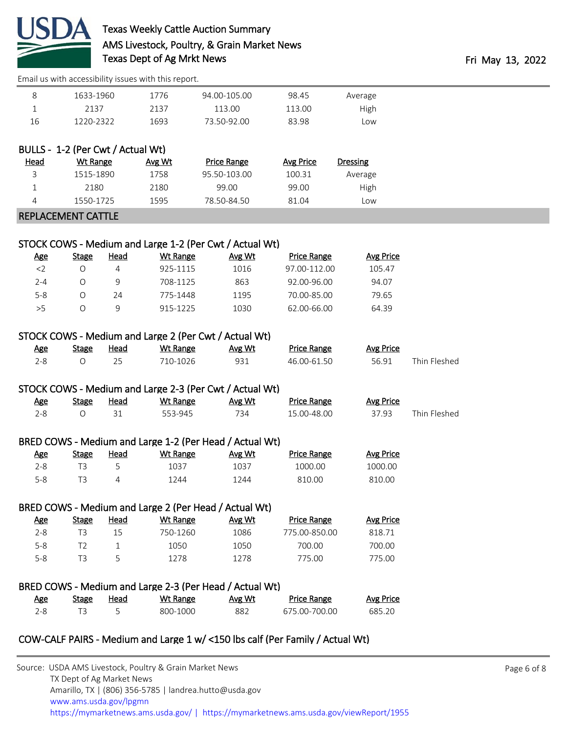

# Texas Weekly Cattle Auction Summary AMS Livestock, Poultry, & Grain Market News Texas Dept of Ag Mrkt News Texas Dept of Ag Mrkt News

|                                   |                                |                | Effiail us with accessibility issues with this report. |                                                                 |                                                                               |                             |              |  |
|-----------------------------------|--------------------------------|----------------|--------------------------------------------------------|-----------------------------------------------------------------|-------------------------------------------------------------------------------|-----------------------------|--------------|--|
| 8                                 | 1633-1960                      |                | 1776                                                   | 94.00-105.00                                                    | 98.45                                                                         | Average                     |              |  |
| $\mathbf{1}$                      | 2137                           |                | 2137                                                   | 113.00                                                          | 113.00                                                                        | High                        |              |  |
| 16                                | 1220-2322                      |                | 1693                                                   | 73.50-92.00                                                     | 83.98                                                                         | Low                         |              |  |
|                                   |                                |                |                                                        |                                                                 |                                                                               |                             |              |  |
| BULLS - 1-2 (Per Cwt / Actual Wt) |                                |                |                                                        |                                                                 |                                                                               |                             |              |  |
| <u>Head</u>                       | <b>Wt Range</b>                |                | Avg Wt                                                 | <b>Price Range</b>                                              | <b>Avg Price</b>                                                              | <b>Dressing</b>             |              |  |
| 3                                 | 1515-1890                      |                | 1758                                                   | 95.50-103.00                                                    | 100.31                                                                        | Average                     |              |  |
| $\mathbf 1$                       | 2180                           |                | 2180                                                   | 99.00                                                           | 99.00                                                                         | High                        |              |  |
| 4                                 | 1550-1725                      |                | 1595                                                   | 78.50-84.50                                                     | 81.04                                                                         | Low                         |              |  |
| REPLACEMENT CATTLE                |                                |                |                                                        |                                                                 |                                                                               |                             |              |  |
|                                   |                                |                |                                                        |                                                                 |                                                                               |                             |              |  |
|                                   |                                |                |                                                        | STOCK COWS - Medium and Large 1-2 (Per Cwt / Actual Wt)         |                                                                               |                             |              |  |
| <u>Age</u>                        | <b>Stage</b>                   | <b>Head</b>    | <b>Wt Range</b>                                        | Avg Wt                                                          | <b>Price Range</b>                                                            | <b>Avg Price</b>            |              |  |
| $<$ 2                             | $\bigcirc$                     | $\overline{4}$ | 925-1115                                               | 1016                                                            | 97.00-112.00                                                                  | 105.47                      |              |  |
| $2 - 4$                           | $\bigcirc$                     | 9              | 708-1125                                               | 863                                                             | 92.00-96.00                                                                   | 94.07                       |              |  |
| $5-8$                             | $\bigcirc$                     | 24             | 775-1448                                               | 1195                                                            | 70.00-85.00                                                                   | 79.65                       |              |  |
| >5                                | $\bigcirc$                     | 9              | 915-1225                                               | 1030                                                            | 62.00-66.00                                                                   | 64.39                       |              |  |
|                                   |                                |                |                                                        |                                                                 |                                                                               |                             |              |  |
|                                   |                                |                |                                                        | STOCK COWS - Medium and Large 2 (Per Cwt / Actual Wt)           |                                                                               |                             |              |  |
| <b>Age</b>                        | <b>Stage</b>                   | <b>Head</b>    | <b>Wt Range</b>                                        | Avg Wt                                                          | <b>Price Range</b>                                                            | <b>Avg Price</b>            |              |  |
| $2 - 8$                           | $\bigcirc$                     | 25             | 710-1026                                               | 931                                                             | 46.00-61.50                                                                   | 56.91                       | Thin Fleshed |  |
|                                   |                                |                |                                                        |                                                                 |                                                                               |                             |              |  |
|                                   |                                |                |                                                        | STOCK COWS - Medium and Large 2-3 (Per Cwt / Actual Wt)         |                                                                               |                             |              |  |
| <u>Age</u>                        | <b>Stage</b>                   | Head           | <b>Wt Range</b>                                        | Avg Wt                                                          | <b>Price Range</b>                                                            | <b>Avg Price</b>            |              |  |
| $2 - 8$                           | $\bigcirc$                     | 31             | 553-945                                                | 734                                                             | 15.00-48.00                                                                   | 37.93                       | Thin Fleshed |  |
|                                   |                                |                |                                                        |                                                                 |                                                                               |                             |              |  |
|                                   |                                |                |                                                        | BRED COWS - Medium and Large 1-2 (Per Head / Actual Wt)         |                                                                               |                             |              |  |
| <u>Age</u><br>$2 - 8$             | <b>Stage</b><br>T <sub>3</sub> | <b>Head</b>    | <b>Wt Range</b><br>1037                                | Avg Wt<br>1037                                                  | <b>Price Range</b><br>1000.00                                                 | <b>Avg Price</b><br>1000.00 |              |  |
| $5 - 8$                           | T <sub>3</sub>                 | 5<br>4         | 1244                                                   | 1244                                                            | 810.00                                                                        | 810.00                      |              |  |
|                                   |                                |                |                                                        |                                                                 |                                                                               |                             |              |  |
|                                   |                                |                |                                                        |                                                                 |                                                                               |                             |              |  |
| <u>Age</u>                        | <b>Stage</b>                   | <b>Head</b>    | <b>Wt Range</b>                                        | BRED COWS - Medium and Large 2 (Per Head / Actual Wt)<br>Avg Wt | <b>Price Range</b>                                                            | <b>Avg Price</b>            |              |  |
| $2 - 8$                           | T <sub>3</sub>                 | 15             | 750-1260                                               | 1086                                                            | 775.00-850.00                                                                 | 818.71                      |              |  |
| $5-8$                             | T <sub>2</sub>                 | $\mathbf{1}$   | 1050                                                   | 1050                                                            | 700.00                                                                        | 700.00                      |              |  |
| $5 - 8$                           | T <sub>3</sub>                 | 5              | 1278                                                   | 1278                                                            | 775.00                                                                        | 775.00                      |              |  |
|                                   |                                |                |                                                        |                                                                 |                                                                               |                             |              |  |
|                                   |                                |                |                                                        | BRED COWS - Medium and Large 2-3 (Per Head / Actual Wt)         |                                                                               |                             |              |  |
| <u>Age</u>                        | <b>Stage</b>                   | <b>Head</b>    | <b>Wt Range</b>                                        | <u>Avg Wt</u>                                                   | <b>Price Range</b>                                                            | <b>Avg Price</b>            |              |  |
| $2 - 8$                           | T <sub>3</sub>                 | 5              | 800-1000                                               | 882                                                             | 675.00-700.00                                                                 | 685.20                      |              |  |
|                                   |                                |                |                                                        |                                                                 |                                                                               |                             |              |  |
|                                   |                                |                |                                                        |                                                                 | COW-CALF PAIRS - Medium and Large 1 w/ <150 lbs calf (Per Family / Actual Wt) |                             |              |  |
|                                   |                                |                |                                                        |                                                                 |                                                                               |                             |              |  |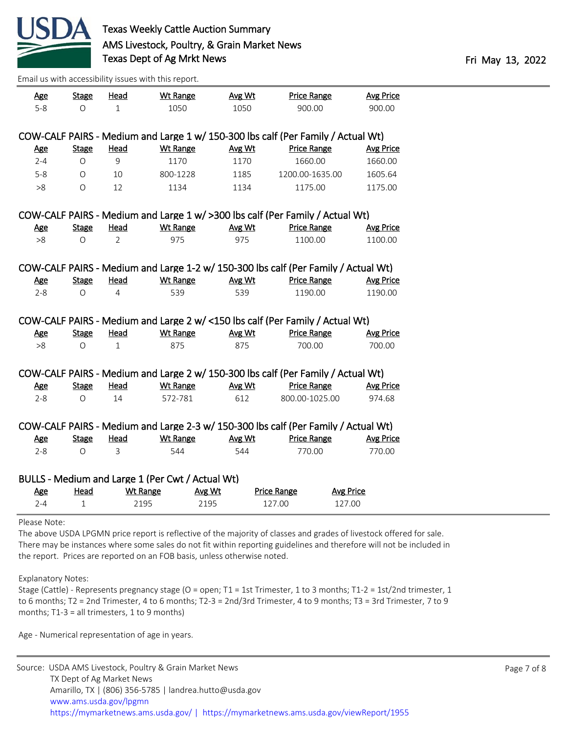

| <b>Age</b>     | <b>Stage</b> | <b>Head</b>     | <b>Wt Range</b>                                                                  | Avg Wt | <b>Price Range</b>           | <b>Avg Price</b>                                                                   |  |
|----------------|--------------|-----------------|----------------------------------------------------------------------------------|--------|------------------------------|------------------------------------------------------------------------------------|--|
| $5 - 8$        | $\bigcirc$   | $1\,$           | 1050                                                                             | 1050   | 900.00                       | 900.00                                                                             |  |
|                |              |                 |                                                                                  |        |                              |                                                                                    |  |
|                |              |                 | COW-CALF PAIRS - Medium and Large 1 w/ 150-300 lbs calf (Per Family / Actual Wt) |        |                              |                                                                                    |  |
| <b>Age</b>     | <b>Stage</b> | Head            | <b>Wt Range</b>                                                                  | Avg Wt | <b>Price Range</b>           | <b>Avg Price</b>                                                                   |  |
| $2 - 4$        | O            | 9               | 1170                                                                             | 1170   | 1660.00                      | 1660.00                                                                            |  |
| $5 - 8$        | $\circ$      | 10              | 800-1228                                                                         | 1185   | 1200.00-1635.00              | 1605.64                                                                            |  |
| >8             | $\circ$      | 12              | 1134                                                                             | 1134   | 1175.00                      | 1175.00                                                                            |  |
|                |              |                 | COW-CALF PAIRS - Medium and Large 1 w/ >300 lbs calf (Per Family / Actual Wt)    |        |                              |                                                                                    |  |
| <u>Age</u>     | <b>Stage</b> | <b>Head</b>     | <b>Wt Range</b>                                                                  | Avg Wt | <b>Price Range</b>           | <b>Avg Price</b>                                                                   |  |
| >8             | O            | 2               | 975                                                                              | 975    | 1100.00                      | 1100.00                                                                            |  |
|                |              |                 |                                                                                  |        |                              |                                                                                    |  |
|                |              |                 |                                                                                  |        |                              | COW-CALF PAIRS - Medium and Large 1-2 w/ 150-300 lbs calf (Per Family / Actual Wt) |  |
| Age            | <b>Stage</b> | Head            | <b>Wt Range</b>                                                                  | Avg Wt | <b>Price Range</b>           | <b>Avg Price</b>                                                                   |  |
| $2 - 8$        | $\Omega$     | 4               | 539                                                                              | 539    | 1190.00                      | 1190.00                                                                            |  |
|                |              |                 | COW-CALF PAIRS - Medium and Large 2 w/ <150 lbs calf (Per Family / Actual Wt)    |        |                              |                                                                                    |  |
| <b>Age</b>     | <b>Stage</b> | Head            | <b>Wt Range</b>                                                                  | Avg Wt | <b>Price Range</b>           | <b>Avg Price</b>                                                                   |  |
| >8             | O            | $\mathbf 1$     | 875                                                                              | 875    | 700.00                       | 700.00                                                                             |  |
|                |              |                 | COW-CALF PAIRS - Medium and Large 2 w/ 150-300 lbs calf (Per Family / Actual Wt) |        |                              |                                                                                    |  |
| <b>Age</b>     | <b>Stage</b> | Head            | <b>Wt Range</b>                                                                  | Avg Wt | <b>Price Range</b>           | <b>Avg Price</b>                                                                   |  |
| $2 - 8$        | $\circ$      | 14              | 572-781                                                                          | 612    | 800.00-1025.00               | 974.68                                                                             |  |
|                |              |                 |                                                                                  |        |                              | COW-CALF PAIRS - Medium and Large 2-3 w/ 150-300 lbs calf (Per Family / Actual Wt) |  |
| <b>Age</b>     | <b>Stage</b> | Head            | <b>Wt Range</b>                                                                  | Avg Wt | <b>Price Range</b>           | <b>Avg Price</b>                                                                   |  |
| $2 - 8$        | $\Omega$     | 3               | 544                                                                              | 544    | 770.00                       | 770.00                                                                             |  |
|                |              |                 |                                                                                  |        |                              |                                                                                    |  |
|                | Head         |                 | BULLS - Medium and Large 1 (Per Cwt / Actual Wt)                                 |        |                              |                                                                                    |  |
| Age<br>$2 - 4$ | $\mathbf{1}$ | <b>Wt Range</b> | Avg Wt<br>2195                                                                   |        | <b>Price Range</b><br>127.00 | <b>Avg Price</b><br>127.00                                                         |  |
|                |              | 2195            |                                                                                  |        |                              |                                                                                    |  |
| Please Note:   |              |                 |                                                                                  |        |                              |                                                                                    |  |

The above USDA LPGMN price report is reflective of the majority of classes and grades of livestock offered for sale. There may be instances where some sales do not fit within reporting guidelines and therefore will not be included in the report. Prices are reported on an FOB basis, unless otherwise noted.

Explanatory Notes:

Stage (Cattle) - Represents pregnancy stage (O = open; T1 = 1st Trimester, 1 to 3 months; T1-2 = 1st/2nd trimester, 1 to 6 months; T2 = 2nd Trimester, 4 to 6 months; T2-3 = 2nd/3rd Trimester, 4 to 9 months; T3 = 3rd Trimester, 7 to 9 months; T1-3 = all trimesters, 1 to 9 months)

Age - Numerical representation of age in years.